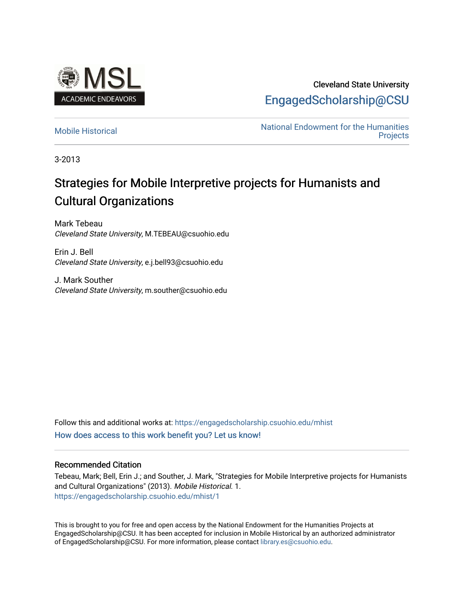

Cleveland State University [EngagedScholarship@CSU](https://engagedscholarship.csuohio.edu/) 

[Mobile Historical](https://engagedscholarship.csuohio.edu/mhist) Mobile Historical Christopher Christopher Mational Endowment for the Humanities [Projects](https://engagedscholarship.csuohio.edu/neh) 

3-2013

# Strategies for Mobile Interpretive projects for Humanists and Cultural Organizations

Mark Tebeau Cleveland State University, M.TEBEAU@csuohio.edu

Erin J. Bell Cleveland State University, e.j.bell93@csuohio.edu

J. Mark Souther Cleveland State University, m.souther@csuohio.edu

Follow this and additional works at: [https://engagedscholarship.csuohio.edu/mhist](https://engagedscholarship.csuohio.edu/mhist?utm_source=engagedscholarship.csuohio.edu%2Fmhist%2F1&utm_medium=PDF&utm_campaign=PDFCoverPages) [How does access to this work benefit you? Let us know!](http://library.csuohio.edu/engaged/)

#### Recommended Citation

Tebeau, Mark; Bell, Erin J.; and Souther, J. Mark, "Strategies for Mobile Interpretive projects for Humanists and Cultural Organizations" (2013). Mobile Historical. 1. [https://engagedscholarship.csuohio.edu/mhist/1](https://engagedscholarship.csuohio.edu/mhist/1?utm_source=engagedscholarship.csuohio.edu%2Fmhist%2F1&utm_medium=PDF&utm_campaign=PDFCoverPages)

This is brought to you for free and open access by the National Endowment for the Humanities Projects at EngagedScholarship@CSU. It has been accepted for inclusion in Mobile Historical by an authorized administrator of EngagedScholarship@CSU. For more information, please contact [library.es@csuohio.edu.](mailto:library.es@csuohio.edu)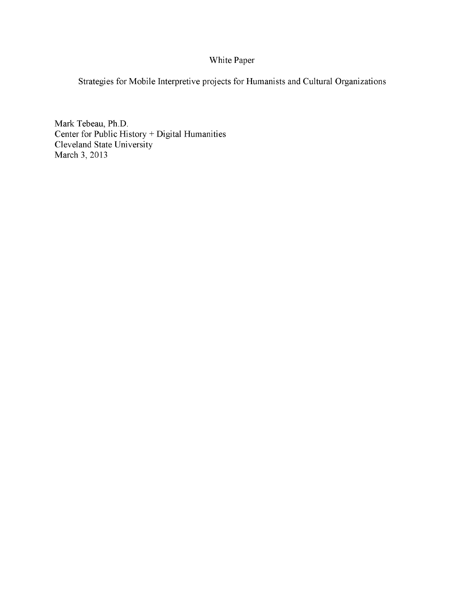## White Paper

Strategies for Mobile Interpretive projects for Humanists and Cultural Organizations

Mark Tebeau, Ph.D. Center for Public History + Digital Humanities Cleveland State University March 3, 2013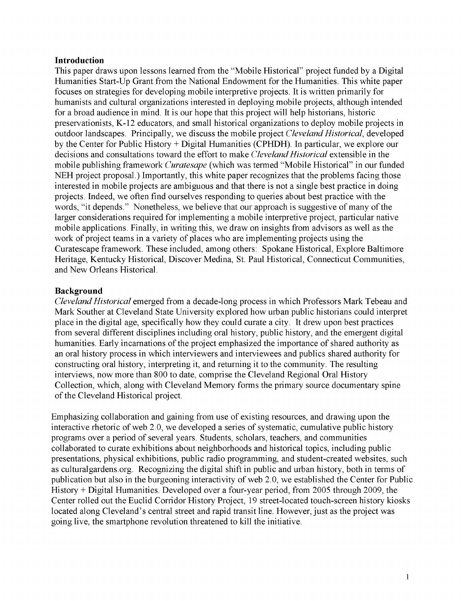## **Introduction**

This paper draws upon lessons learned from the "Mobile Historical" project funded by a Digital Humanities Start-Up Grant from the National Endowment for the Humanities. This white paper focuses on strategies for developing mobile interpretive projects. It is written primarily for humanists and cultural organizations interested in deploying mobile projects, although intended for a broad audience in mind. It is our hope that this project will help historians, historic preservationists, K-12 educators, and small historical organizations to deploy mobile projects in outdoor landscapes. Principally, we discuss the mobile project *Cleveland Historical*, developed by the Center for Public History + Digital Humanities (CPHDH). In particular, we explore our decisions and consultations toward the effort to make *Cleveland Historical* extensible in the mobile publishing framework *Curatesape* (which was termed "Mobile Historical" in our funded NEH project proposal.) Importantly, this white paper recognizes that the problems facing those interested in mobile projects are ambiguous and that there is not a single best practice in doing projects. Indeed, we often find ourselves responding to queries about best practice with the words, "it depends." Nonetheless, we believe that our approach is suggestive of many of the larger considerations required for implementing a mobile interpretive project, particular native mobile applications. Finally, in writing this, we draw on insights from advisors as well as the work of project teams in a variety of places who are implementing projects using the Curatescape framework. These included, among others: Spokane Historical, Explore Baltimore Heritage, Kentucky Historical, Discover Medina, St. Paul Historical, Connecticut Communities, and New Orleans Historical.

## **Background**

*Cleveland Historical* emerged from a decade-long process in which Professors Mark Tebeau and Mark Souther at Cleveland State University explored how urban public historians could interpret place in the digital age, specifically how they could curate a city. It drew upon best practices from several different disciplines including oral history, public history, and the emergent digital humanities. Early incarnations of the project emphasized the importance of shared authority as an oral history process in which interviewers and interviewees and publics shared authority for constructing oral history, interpreting it, and returning it to the community. The resulting interviews, now more than 800 to date, comprise the Cleveland Regional Oral History Collection, which, along with Cleveland Memory forms the primary source documentary spine of the Cleveland Historical project.

Emphasizing collaboration and gaining from use of existing resources, and drawing upon the interactive rhetoric of web 2.0, we developed a series of systematic, cumulative public history programs over a period of several years. Students, scholars, teachers, and communities collaborated to curate exhibitions about neighborhoods and historical topics, including public presentations, physical exhibitions, public radio programming, and student-created websites, such as <culturalgardens.org>. Recognizing the digital shift in public and urban history, both in terms of publication but also in the burgeoning interactivity of web 2.0, we established the Center for Public History + Digital Humanities. Developed over a four-year period, from 2005 through 2009, the Center rolled out the Euclid Corridor History Project, 19 street-located touch-screen history kiosks located along Cleveland's central street and rapid transit line. However, just as the project was going live, the smartphone revolution threatened to kill the initiative.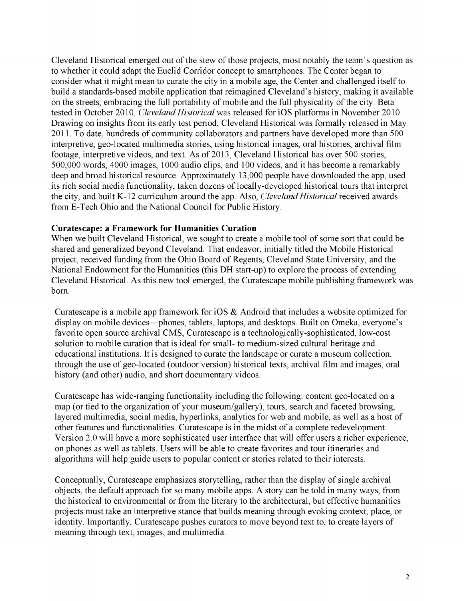Cleveland Historical emerged out of the stew of those projects, most notably the team's question as to whether it could adapt the Euclid Corridor concept to smartphones. The Center began to consider what it might mean to curate the city in a mobile age, the Center and challenged itself to build a standards-based mobile application that reimagined Cleveland's history, making it available on the streets, embracing the full portability of mobile and the full physicality of the city. Beta tested in October 2010, *Cleveland Historical* was released for iOS platforms in November 2010. Drawing on insights from its early test period, Cleveland Historical was formally released in May 2011. To date, hundreds of community collaborators and partners have developed more than 500 interpretive, geo-located multimedia stories, using historical images, oral histories, archival film footage, interpretive videos, and text. As of 2013, Cleveland Historical has over 500 stories, 500,000 words, 4000 images, 1000 audio clips, and 100 videos, and it has become a remarkably deep and broad historical resource. Approximately 13,000 people have downloaded the app, used its rich social media functionality, taken dozens of locally-developed historical tours that interpret the city, and built K-12 curriculum around the app. Also, *Cleveland Historical* received awards from E-Tech Ohio and the National Council for Public History.

## **Curatescape: a Framework for Humanities Curation**

When we built Cleveland Historical, we sought to create a mobile tool of some sort that could be shared and generalized beyond Cleveland. That endeavor, initially titled the Mobile Historical project, received funding from the Ohio Board of Regents, Cleveland State University, and the National Endowment for the Humanities (this DH start-up) to explore the process of extending Cleveland Historical. As this new tool emerged, the Curatescape mobile publishing framework was born.

Curatescape is a mobile app framework for iOS & Android that includes a website optimized for display on mobile devices—phones, tablets, laptops, and desktops. Built on Omeka, everyone's favorite open source archival CMS, Curatescape is a technologically-sophisticated, low-cost solution to mobile curation that is ideal for small- to medium-sized cultural heritage and educational institutions. It is designed to curate the landscape or curate a museum collection, through the use of geo-located (outdoor version) historical texts, archival film and images, oral history (and other) audio, and short documentary videos.

Curatescape has wide-ranging functionality including the following: content geo-located on a map (or tied to the organization of your museum/gallery), tours, search and faceted browsing, layered multimedia, social media, hyperlinks, analytics for web and mobile, as well as a host of other features and functionalities. Curatescape is in the midst of a complete redevelopment. Version 2.0 will have a more sophisticated user interface that will offer users a richer experience, on phones as well as tablets. Users will be able to create favorites and tour itineraries and algorithms will help guide users to popular content or stories related to their interests.

Conceptually, Curatescape emphasizes storytelling, rather than the display of single archival objects, the default approach for so many mobile apps. A story can be told in many ways, from the historical to environmental or from the literary to the architectural, but effective humanities projects must take an interpretive stance that builds meaning through evoking context, place, or identity. Importantly, Curatescape pushes curators to move beyond text to, to create layers of meaning through text, images, and multimedia.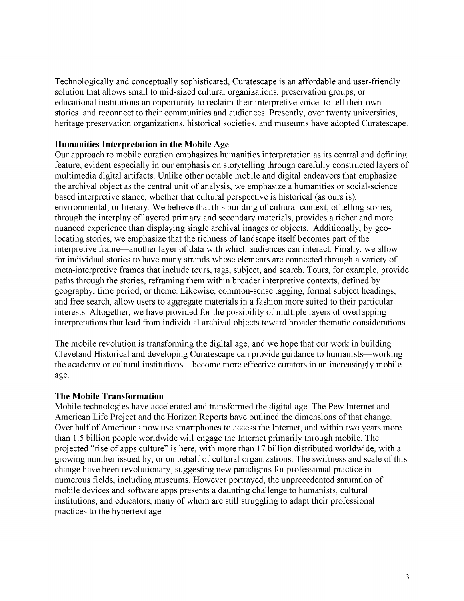Technologically and conceptually sophisticated, Curatescape is an affordable and user-friendly solution that allows small to mid-sized cultural organizations, preservation groups, or educational institutions an opportunity to reclaim their interpretive voice-to tell their own stories-and reconnect to their communities and audiences. Presently, over twenty universities, heritage preservation organizations, historical societies, and museums have adopted Curatescape.

## **Humanities Interpretation in the Mobile Age**

Our approach to mobile curation emphasizes humanities interpretation as its central and defining feature, evident especially in our emphasis on storytelling through carefully constructed layers of multimedia digital artifacts. Unlike other notable mobile and digital endeavors that emphasize the archival object as the central unit of analysis, we emphasize a humanities or social-science based interpretive stance, whether that cultural perspective is historical (as ours is), environmental, or literary. We believe that this building of cultural context, of telling stories, through the interplay of layered primary and secondary materials, provides a richer and more nuanced experience than displaying single archival images or objects. Additionally, by geolocating stories, we emphasize that the richness of landscape itself becomes part of the interpretive frame—another layer of data with which audiences can interact. Finally, we allow for individual stories to have many strands whose elements are connected through a variety of meta-interpretive frames that include tours, tags, subject, and search. Tours, for example, provide paths through the stories, reframing them within broader interpretive contexts, defined by geography, time period, or theme. Likewise, common-sense tagging, formal subject headings, and free search, allow users to aggregate materials in a fashion more suited to their particular interests. Altogether, we have provided for the possibility of multiple layers of overlapping interpretations that lead from individual archival objects toward broader thematic considerations.

The mobile revolution is transforming the digital age, and we hope that our work in building Cleveland Historical and developing Curatescape can provide guidance to humanists—working the academy or cultural institutions—become more effective curators in an increasingly mobile age.

#### **The Mobile Transformation**

Mobile technologies have accelerated and transformed the digital age. The Pew Internet and American Life Project and the Horizon Reports have outlined the dimensions of that change. Over half of Americans now use smartphones to access the Internet, and within two years more than 1.5 billion people worldwide will engage the Internet primarily through mobile. The projected "rise of apps culture" is here, with more than 17 billion distributed worldwide, with a growing number issued by, or on behalf of cultural organizations. The swiftness and scale of this change have been revolutionary, suggesting new paradigms for professional practice in numerous fields, including museums. However portrayed, the unprecedented saturation of mobile devices and software apps presents a daunting challenge to humanists, cultural institutions, and educators, many of whom are still struggling to adapt their professional practices to the hypertext age.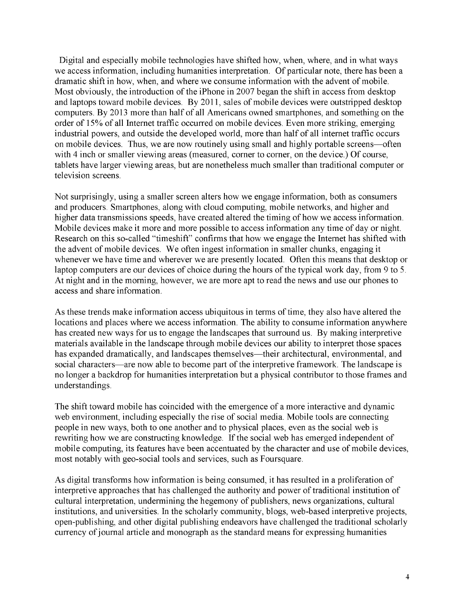Digital and especially mobile technologies have shifted how, when, where, and in what ways we access information, including humanities interpretation. Of particular note, there has been a dramatic shift in how, when, and where we consume information with the advent of mobile. Most obviously, the introduction of the iPhone in 2007 began the shift in access from desktop and laptops toward mobile devices. By 2011, sales of mobile devices were outstripped desktop computers. By 2013 more than half of all Americans owned smartphones, and something on the order of 15% of all Internet traffic occurred on mobile devices. Even more striking, emerging industrial powers, and outside the developed world, more than half of all internet traffic occurs on mobile devices. Thus, we are now routinely using small and highly portable screens—often with 4 inch or smaller viewing areas (measured, corner to corner, on the device.) Of course, tablets have larger viewing areas, but are nonetheless much smaller than traditional computer or television screens.

Not surprisingly, using a smaller screen alters how we engage information, both as consumers and producers. Smartphones, along with cloud computing, mobile networks, and higher and higher data transmissions speeds, have created altered the timing of how we access information. Mobile devices make it more and more possible to access information any time of day or night. Research on this so-called "timeshift" confirms that how we engage the Internet has shifted with the advent of mobile devices. We often ingest information in smaller chunks, engaging it whenever we have time and wherever we are presently located. Often this means that desktop or laptop computers are our devices of choice during the hours of the typical work day, from 9 to 5. At night and in the morning, however, we are more apt to read the news and use our phones to access and share information.

As these trends make information access ubiquitous in terms of time, they also have altered the locations and places where we access information. The ability to consume information anywhere has created new ways for us to engage the landscapes that surround us. By making interpretive materials available in the landscape through mobile devices our ability to interpret those spaces has expanded dramatically, and landscapes themselves—their architectural, environmental, and social characters—are now able to become part of the interpretive framework. The landscape is no longer a backdrop for humanities interpretation but a physical contributor to those frames and understandings.

The shift toward mobile has coincided with the emergence of a more interactive and dynamic web environment, including especially the rise of social media. Mobile tools are connecting people in new ways, both to one another and to physical places, even as the social web is rewriting how we are constructing knowledge. If the social web has emerged independent of mobile computing, its features have been accentuated by the character and use of mobile devices, most notably with geo-social tools and services, such as Foursquare.

As digital transforms how information is being consumed, it has resulted in a proliferation of interpretive approaches that has challenged the authority and power of traditional institution of cultural interpretation, undermining the hegemony of publishers, news organizations, cultural institutions, and universities. In the scholarly community, blogs, web-based interpretive projects, open-publishing, and other digital publishing endeavors have challenged the traditional scholarly currency of journal article and monograph as the standard means for expressing humanities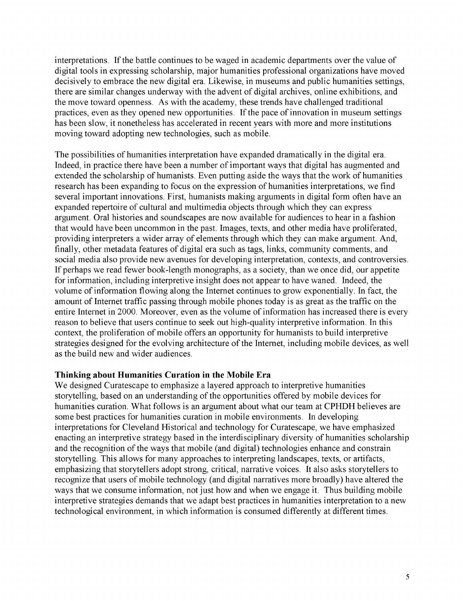interpretations. If the battle continues to be waged in academic departments over the value of digital tools in expressing scholarship, major humanities professional organizations have moved decisively to embrace the new digital era. Likewise, in museums and public humanities settings, there are similar changes underway with the advent of digital archives, online exhibitions, and the move toward openness. As with the academy, these trends have challenged traditional practices, even as they opened new opportunities. If the pace of innovation in museum settings has been slow, it nonetheless has accelerated in recent years with more and more institutions moving toward adopting new technologies, such as mobile.

The possibilities of humanities interpretation have expanded dramatically in the digital era. Indeed, in practice there have been a number of important ways that digital has augmented and extended the scholarship of humanists. Even putting aside the ways that the work of humanities research has been expanding to focus on the expression of humanities interpretations, we find several important innovations. First, humanists making arguments in digital form often have an expanded repertoire of cultural and multimedia objects through which they can express argument. Oral histories and soundscapes are now available for audiences to hear in a fashion that would have been uncommon in the past. Images, texts, and other media have proliferated, providing interpreters a wider array of elements through which they can make argument. And, finally, other metadata features of digital era such as tags, links, community comments, and social media also provide new avenues for developing interpretation, contexts, and controversies. If perhaps we read fewer book-length monographs, as a society, than we once did, our appetite for information, including interpretive insight does not appear to have waned. Indeed, the volume of information flowing along the Internet continues to grow exponentially. In fact, the amount of Internet traffic passing through mobile phones today is as great as the traffic on the entire Internet in 2000. Moreover, even as the volume of information has increased there is every reason to believe that users continue to seek out high-quality interpretive information. In this context, the proliferation of mobile offers an opportunity for humanists to build interpretive strategies designed for the evolving architecture of the Internet, including mobile devices, as well as the build new and wider audiences.

## **Thinking about Humanities Curation in the Mobile Era**

We designed Curatescape to emphasize a layered approach to interpretive humanities storytelling, based on an understanding of the opportunities offered by mobile devices for humanities curation. What follows is an argument about what our team at CPHDH believes are some best practices for humanities curation in mobile environments. In developing interpretations for Cleveland Historical and technology for Curatescape, we have emphasized enacting an interpretive strategy based in the interdisciplinary diversity of humanities scholarship and the recognition of the ways that mobile (and digital) technologies enhance and constrain storytelling. This allows for many approaches to interpreting landscapes, texts, or artifacts, emphasizing that storytellers adopt strong, critical, narrative voices. It also asks storytellers to recognize that users of mobile technology (and digital narratives more broadly) have altered the ways that we consume information, not just how and when we engage it. Thus building mobile interpretive strategies demands that we adapt best practices in humanities interpretation to a new technological environment, in which information is consumed differently at different times.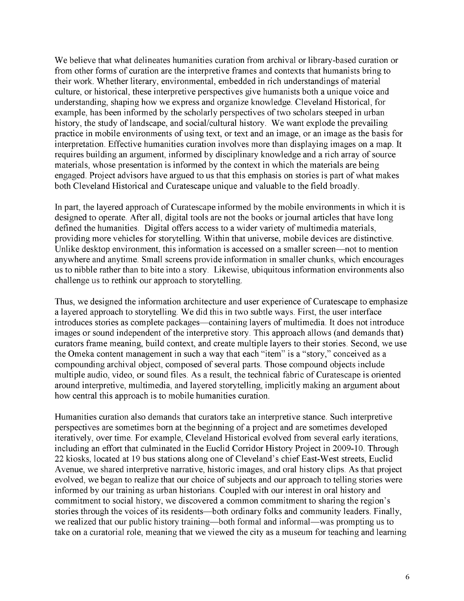We believe that what delineates humanities curation from archival or library-based curation or from other forms of curation are the interpretive frames and contexts that humanists bring to their work. Whether literary, environmental, embedded in rich understandings of material culture, or historical, these interpretive perspectives give humanists both a unique voice and understanding, shaping how we express and organize knowledge. Cleveland Historical, for example, has been informed by the scholarly perspectives of two scholars steeped in urban history, the study of landscape, and social/cultural history. We want explode the prevailing practice in mobile environments of using text, or text and an image, or an image as the basis for interpretation. Effective humanities curation involves more than displaying images on a map. It requires building an argument, informed by disciplinary knowledge and a rich array of source materials, whose presentation is informed by the context in which the materials are being engaged. Project advisors have argued to us that this emphasis on stories is part of what makes both Cleveland Historical and Curatescape unique and valuable to the field broadly.

In part, the layered approach of Curatescape informed by the mobile environments in which it is designed to operate. After all, digital tools are not the books or journal articles that have long defined the humanities. Digital offers access to a wider variety of multimedia materials, providing more vehicles for storytelling. Within that universe, mobile devices are distinctive. Unlike desktop environment, this information is accessed on a smaller screen—not to mention anywhere and anytime. Small screens provide information in smaller chunks, which encourages us to nibble rather than to bite into a story. Likewise, ubiquitous information environments also challenge us to rethink our approach to storytelling.

Thus, we designed the information architecture and user experience of Curatescape to emphasize a layered approach to storytelling. We did this in two subtle ways. First, the user interface introduces stories as complete packages—containing layers of multimedia. It does not introduce images or sound independent of the interpretive story. This approach allows (and demands that) curators frame meaning, build context, and create multiple layers to their stories. Second, we use the Omeka content management in such a way that each "item" is a "story," conceived as a compounding archival object, composed of several parts. Those compound objects include multiple audio, video, or sound files. As a result, the technical fabric of Curatescape is oriented around interpretive, multimedia, and layered storytelling, implicitly making an argument about how central this approach is to mobile humanities curation.

Humanities curation also demands that curators take an interpretive stance. Such interpretive perspectives are sometimes born at the beginning of a project and are sometimes developed iteratively, over time. For example, Cleveland Historical evolved from several early iterations, including an effort that culminated in the Euclid Corridor History Project in 2009-10. Through 22 kiosks, located at 19 bus stations along one of Cleveland's chief East-West streets, Euclid Avenue, we shared interpretive narrative, historic images, and oral history clips. As that project evolved, we began to realize that our choice of subjects and our approach to telling stories were informed by our training as urban historians. Coupled with our interest in oral history and commitment to social history, we discovered a common commitment to sharing the region's stories through the voices of its residents—both ordinary folks and community leaders. Finally, we realized that our public history training—both formal and informal—was prompting us to take on a curatorial role, meaning that we viewed the city as a museum for teaching and learning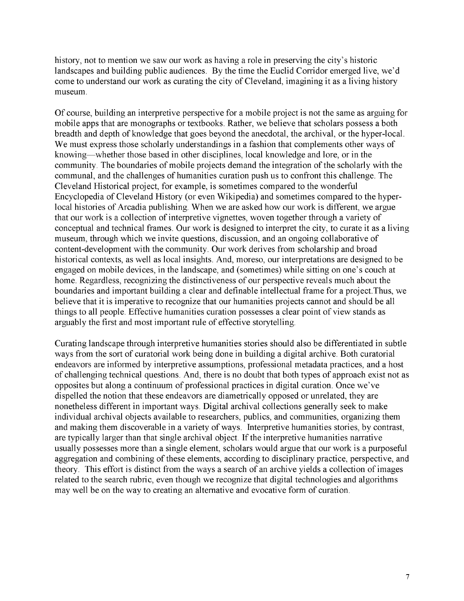history, not to mention we saw our work as having a role in preserving the city's historic landscapes and building public audiences. By the time the Euclid Corridor emerged live, we'd come to understand our work as curating the city of Cleveland, imagining it as a living history museum.

Of course, building an interpretive perspective for a mobile project is not the same as arguing for mobile apps that are monographs or textbooks. Rather, we believe that scholars possess a both breadth and depth of knowledge that goes beyond the anecdotal, the archival, or the hyper-local. We must express those scholarly understandings in a fashion that complements other ways of knowing—whether those based in other disciplines, local knowledge and lore, or in the community. The boundaries of mobile projects demand the integration of the scholarly with the communal, and the challenges of humanities curation push us to confront this challenge. The Cleveland Historical project, for example, is sometimes compared to the wonderful Encyclopedia of Cleveland History (or even Wikipedia) and sometimes compared to the hyperlocal histories of Arcadia publishing. When we are asked how our work is different, we argue that our work is a collection of interpretive vignettes, woven together through a variety of conceptual and technical frames. Our work is designed to interpret the city, to curate it as a living museum, through which we invite questions, discussion, and an ongoing collaborative of content-development with the community. Our work derives from scholarship and broad historical contexts, as well as local insights. And, moreso, our interpretations are designed to be engaged on mobile devices, in the landscape, and (sometimes) while sitting on one's couch at home. Regardless, recognizing the distinctiveness of our perspective reveals much about the boundaries and important building a clear and definable intellectual frame for a project.Thus, we believe that it is imperative to recognize that our humanities projects cannot and should be all things to all people. Effective humanities curation possesses a clear point of view stands as arguably the first and most important rule of effective storytelling.

Curating landscape through interpretive humanities stories should also be differentiated in subtle ways from the sort of curatorial work being done in building a digital archive. Both curatorial endeavors are informed by interpretive assumptions, professional metadata practices, and a host of challenging technical questions. And, there is no doubt that both types of approach exist not as opposites but along a continuum of professional practices in digital curation. Once we've dispelled the notion that these endeavors are diametrically opposed or unrelated, they are nonetheless different in important ways. Digital archival collections generally seek to make individual archival objects available to researchers, publics, and communities, organizing them and making them discoverable in a variety of ways. Interpretive humanities stories, by contrast, are typically larger than that single archival object. If the interpretive humanities narrative usually possesses more than a single element, scholars would argue that our work is a purposeful aggregation and combining of these elements, according to disciplinary practice, perspective, and theory. This effort is distinct from the ways a search of an archive yields a collection of images related to the search rubric, even though we recognize that digital technologies and algorithms may well be on the way to creating an alternative and evocative form of curation.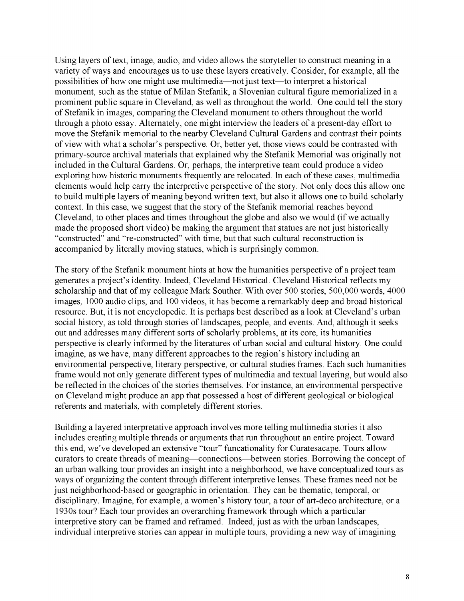Using layers of text, image, audio, and video allows the storyteller to construct meaning in a variety of ways and encourages us to use these layers creatively. Consider, for example, all the possibilities of how one might use multimedia—not just text—to interpret a historical monument, such as the statue of Milan Stefanik, a Slovenian cultural figure memorialized in a prominent public square in Cleveland, as well as throughout the world. One could tell the story of Stefanik in images, comparing the Cleveland monument to others throughout the world through a photo essay. Alternately, one might interview the leaders of a present-day effort to move the Stefanik memorial to the nearby Cleveland Cultural Gardens and contrast their points of view with what a scholar's perspective. Or, better yet, those views could be contrasted with primary-source archival materials that explained why the Stefanik Memorial was originally not included in the Cultural Gardens. Or, perhaps, the interpretive team could produce a video exploring how historic monuments frequently are relocated. In each of these cases, multimedia elements would help carry the interpretive perspective of the story. Not only does this allow one to build multiple layers of meaning beyond written text, but also it allows one to build scholarly context. In this case, we suggest that the story of the Stefanik memorial reaches beyond Cleveland, to other places and times throughout the globe and also we would (if we actually made the proposed short video) be making the argument that statues are not just historically "constructed" and "re-constructed" with time, but that such cultural reconstruction is accompanied by literally moving statues, which is surprisingly common.

The story of the Stefanik monument hints at how the humanities perspective of a project team generates a project's identity. Indeed, Cleveland Historical. Cleveland Historical reflects my scholarship and that of my colleague Mark Souther. With over 500 stories, 500,000 words, 4000 images, 1000 audio clips, and 100 videos, it has become a remarkably deep and broad historical resource. But, it is not encyclopedic. It is perhaps best described as a look at Cleveland's urban social history, as told through stories of landscapes, people, and events. And, although it seeks out and addresses many different sorts of scholarly problems, at its core, its humanities perspective is clearly informed by the literatures of urban social and cultural history. One could imagine, as we have, many different approaches to the region's history including an environmental perspective, literary perspective, or cultural studies frames. Each such humanities frame would not only generate different types of multimedia and textual layering, but would also be reflected in the choices of the stories themselves. For instance, an environmental perspective on Cleveland might produce an app that possessed a host of different geological or biological referents and materials, with completely different stories.

Building a layered interpretative approach involves more telling multimedia stories it also includes creating multiple threads or arguments that run throughout an entire project. Toward this end, we've developed an extensive "tour" funcationality for Curatesacape. Tours allow curators to create threads of meaning—connections—between stories. Borrowing the concept of an urban walking tour provides an insight into a neighborhood, we have conceptualized tours as ways of organizing the content through different interpretive lenses. These frames need not be just neighborhood-based or geographic in orientation. They can be thematic, temporal, or disciplinary. Imagine, for example, a women's history tour, a tour of art-deco architecture, or a 1930s tour? Each tour provides an overarching framework through which a particular interpretive story can be framed and reframed. Indeed, just as with the urban landscapes, individual interpretive stories can appear in multiple tours, providing a new way of imagining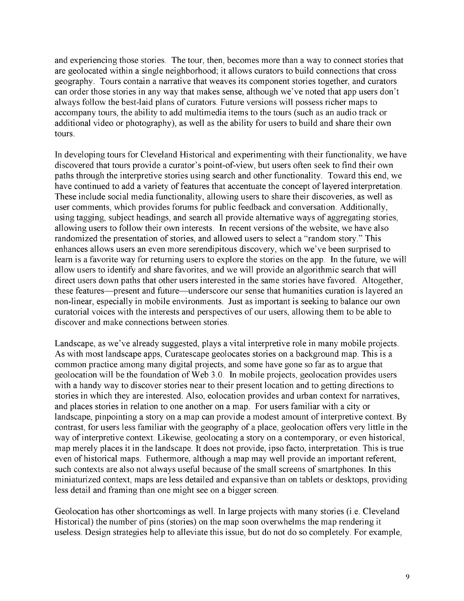and experiencing those stories. The tour, then, becomes more than a way to connect stories that are geolocated within a single neighborhood; it allows curators to build connections that cross geography. Tours contain a narrative that weaves its component stories together, and curators can order those stories in any way that makes sense, although we've noted that app users don't always follow the best-laid plans of curators. Future versions will possess richer maps to accompany tours, the ability to add multimedia items to the tours (such as an audio track or additional video or photography), as well as the ability for users to build and share their own tours.

In developing tours for Cleveland Historical and experimenting with their functionality, we have discovered that tours provide a curator's point-of-view, but users often seek to find their own paths through the interpretive stories using search and other functionality. Toward this end, we have continued to add a variety of features that accentuate the concept of layered interpretation. These include social media functionality, allowing users to share their discoveries, as well as user comments, which provides forums for public feedback and conversation. Additionally, using tagging, subject headings, and search all provide alternative ways of aggregating stories, allowing users to follow their own interests. In recent versions of the website, we have also randomized the presentation of stories, and allowed users to select a "random story." This enhances allows users an even more serendipitous discovery, which we've been surprised to learn is a favorite way for returning users to explore the stories on the app. In the future, we will allow users to identify and share favorites, and we will provide an algorithmic search that will direct users down paths that other users interested in the same stories have favored. Altogether, these features—present and future—underscore our sense that humanities curation is layered an non-linear, especially in mobile environments. Just as important is seeking to balance our own curatorial voices with the interests and perspectives of our users, allowing them to be able to discover and make connections between stories.

Landscape, as we've already suggested, plays a vital interpretive role in many mobile projects. As with most landscape apps, Curatescape geolocates stories on a background map. This is a common practice among many digital projects, and some have gone so far as to argue that geolocation will be the foundation of Web 3.0. In mobile projects, geolocation provides users with a handy way to discover stories near to their present location and to getting directions to stories in which they are interested. Also, eolocation provides and urban context for narratives, and places stories in relation to one another on a map. For users familiar with a city or landscape, pinpointing a story on a map can provide a modest amount of interpretive context. By contrast, for users less familiar with the geography of a place, geolocation offers very little in the way of interpretive context. Likewise, geolocating a story on a contemporary, or even historical, map merely places it in the landscape. It does not provide, ipso facto, interpretation. This is true even of historical maps. Futhermore, although a map may well provide an important referent, such contexts are also not always useful because of the small screens of smartphones. In this miniaturized context, maps are less detailed and expansive than on tablets or desktops, providing less detail and framing than one might see on a bigger screen.

Geolocation has other shortcomings as well. In large projects with many stories (i.e. Cleveland Historical) the number of pins (stories) on the map soon overwhelms the map rendering it useless. Design strategies help to alleviate this issue, but do not do so completely. For example,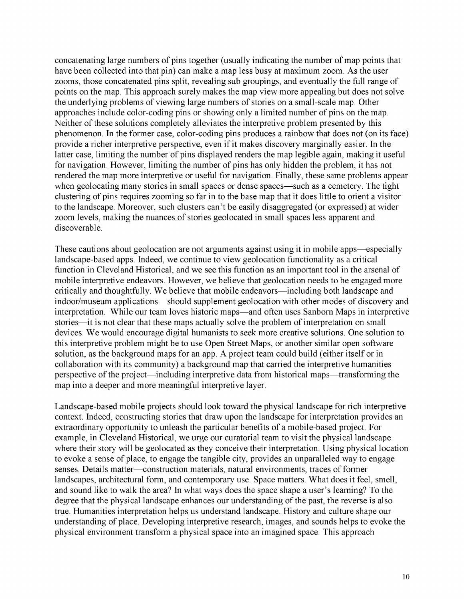concatenating large numbers of pins together (usually indicating the number of map points that have been collected into that pin) can make a map less busy at maximum zoom. As the user zooms, those concatenated pins split, revealing sub groupings, and eventually the full range of points on the map. This approach surely makes the map view more appealing but does not solve the underlying problems of viewing large numbers of stories on a small-scale map. Other approaches include color-coding pins or showing only a limited number of pins on the map. Neither of these solutions completely alleviates the interpretive problem presented by this phenomenon. In the former case, color-coding pins produces a rainbow that does not (on its face) provide a richer interpretive perspective, even if it makes discovery marginally easier. In the latter case, limiting the number of pins displayed renders the map legible again, making it useful for navigation. However, limiting the number of pins has only hidden the problem, it has not rendered the map more interpretive or useful for navigation. Finally, these same problems appear when geolocating many stories in small spaces or dense spaces—such as a cemetery. The tight clustering of pins requires zooming so far in to the base map that it does little to orient a visitor to the landscape. Moreover, such clusters can't be easily disaggregated (or expressed) at wider zoom levels, making the nuances of stories geolocated in small spaces less apparent and discoverable.

These cautions about geolocation are not arguments against using it in mobile apps—especially landscape-based apps. Indeed, we continue to view geolocation functionality as a critical function in Cleveland Historical, and we see this function as an important tool in the arsenal of mobile interpretive endeavors. However, we believe that geolocation needs to be engaged more critically and thoughtfully. We believe that mobile endeavors—including both landscape and indoor/museum applications—should supplement geolocation with other modes of discovery and interpretation. While our team loves historic maps—and often uses Sanborn Maps in interpretive stories—it is not clear that these maps actually solve the problem of interpretation on small devices. We would encourage digital humanists to seek more creative solutions. One solution to this interpretive problem might be to use Open Street Maps, or another similar open software solution, as the background maps for an app. A project team could build (either itself or in collaboration with its community) a background map that carried the interpretive humanities perspective of the project—including interpretive data from historical maps—transforming the map into a deeper and more meaningful interpretive layer.

Landscape-based mobile projects should look toward the physical landscape for rich interpretive context. Indeed, constructing stories that draw upon the landscape for interpretation provides an extraordinary opportunity to unleash the particular benefits of a mobile-based project. For example, in Cleveland Historical, we urge our curatorial team to visit the physical landscape where their story will be geolocated as they conceive their interpretation. Using physical location to evoke a sense of place, to engage the tangible city, provides an unparalleled way to engage senses. Details matter—construction materials, natural environments, traces of former landscapes, architectural form, and contemporary use. Space matters. What does it feel, smell, and sound like to walk the area? In what ways does the space shape a user's learning? To the degree that the physical landscape enhances our understanding of the past, the reverse is also true. Humanities interpretation helps us understand landscape. History and culture shape our understanding of place. Developing interpretive research, images, and sounds helps to evoke the physical environment transform a physical space into an imagined space. This approach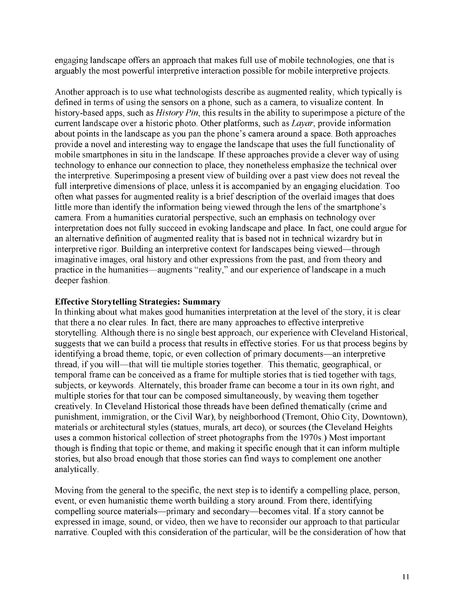engaging landscape offers an approach that makes full use of mobile technologies, one that is arguably the most powerful interpretive interaction possible for mobile interpretive projects.

Another approach is to use what technologists describe as augmented reality, which typically is defined in terms of using the sensors on a phone, such as a camera, to visualize content. In history-based apps, such as *History Pin*, this results in the ability to superimpose a picture of the current landscape over a historic photo. Other platforms, such as *Layar*, provide information about points in the landscape as you pan the phone's camera around a space. Both approaches provide a novel and interesting way to engage the landscape that uses the full functionality of mobile smartphones in situ in the landscape. If these approaches provide a clever way of using technology to enhance our connection to place, they nonetheless emphasize the technical over the interpretive. Superimposing a present view of building over a past view does not reveal the full interpretive dimensions of place, unless it is accompanied by an engaging elucidation. Too often what passes for augmented reality is a brief description of the overlaid images that does little more than identify the information being viewed through the lens of the smartphone's camera. From a humanities curatorial perspective, such an emphasis on technology over interpretation does not fully succeed in evoking landscape and place. In fact, one could argue for an alternative definition of augmented reality that is based not in technical wizardry but in interpretive rigor. Building an interpretive context for landscapes being viewed—through imaginative images, oral history and other expressions from the past, and from theory and practice in the humanities—augments "reality," and our experience of landscape in a much deeper fashion.

## **Effective Storytelling Strategies: Summary**

In thinking about what makes good humanities interpretation at the level of the story, it is clear that there a no clear rules. In fact, there are many approaches to effective interpretive storytelling. Although there is no single best approach, our experience with Cleveland Historical, suggests that we can build a process that results in effective stories. For us that process begins by identifying a broad theme, topic, or even collection of primary documents—an interpretive thread, if you will—that will tie multiple stories together. This thematic, geographical, or temporal frame can be conceived as a frame for multiple stories that is tied together with tags, subjects, or keywords. Alternately, this broader frame can become a tour in its own right, and multiple stories for that tour can be composed simultaneously, by weaving them together creatively. In Cleveland Historical those threads have been defined thematically (crime and punishment, immigration, or the Civil War), by neighborhood (Tremont, Ohio City, Downtown), materials or architectural styles (statues, murals, art deco), or sources (the Cleveland Heights uses a common historical collection of street photographs from the 1970s.) Most important though is finding that topic or theme, and making it specific enough that it can inform multiple stories, but also broad enough that those stories can find ways to complement one another analytically.

Moving from the general to the specific, the next step is to identify a compelling place, person, event, or even humanistic theme worth building a story around. From there, identifying compelling source materials—primary and secondary—becomes vital. If a story cannot be expressed in image, sound, or video, then we have to reconsider our approach to that particular narrative. Coupled with this consideration of the particular, will be the consideration of how that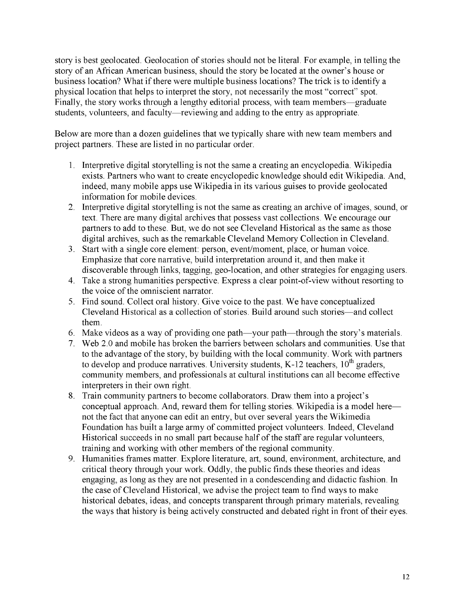story is best geolocated. Geolocation of stories should not be literal. For example, in telling the story of an African American business, should the story be located at the owner's house or business location? What if there were multiple business locations? The trick is to identify a physical location that helps to interpret the story, not necessarily the most "correct" spot. Finally, the story works through a lengthy editorial process, with team members—graduate students, volunteers, and faculty—reviewing and adding to the entry as appropriate.

Below are more than a dozen guidelines that we typically share with new team members and project partners. These are listed in no particular order.

- 1. Interpretive digital storytelling is not the same a creating an encyclopedia. Wikipedia exists. Partners who want to create encyclopedic knowledge should edit Wikipedia. And, indeed, many mobile apps use Wikipedia in its various guises to provide geolocated information for mobile devices.
- 2. Interpretive digital storytelling is not the same as creating an archive of images, sound, or text. There are many digital archives that possess vast collections. We encourage our partners to add to these. But, we do not see Cleveland Historical as the same as those digital archives, such as the remarkable Cleveland Memory Collection in Cleveland.
- 3. Start with a single core element: person, event/moment, place, or human voice. Emphasize that core narrative, build interpretation around it, and then make it discoverable through links, tagging, geo-location, and other strategies for engaging users.
- 4. Take a strong humanities perspective. Express a clear point-of-view without resorting to the voice of the omniscient narrator.
- 5. Find sound. Collect oral history. Give voice to the past. We have conceptualized Cleveland Historical as a collection of stories. Build around such stories—and collect them.
- 6. Make videos as a way of providing one path—your path—through the story's materials.
- 7. Web 2.0 and mobile has broken the barriers between scholars and communities. Use that to the advantage of the story, by building with the local community. Work with partners to develop and produce narratives. University students, K-12 teachers,  $10^{th}$  graders, community members, and professionals at cultural institutions can all become effective interpreters in their own right.
- 8. Train community partners to become collaborators. Draw them into a project's conceptual approach. And, reward them for telling stories. Wikipedia is a model here not the fact that anyone can edit an entry, but over several years the Wikimedia Foundation has built a large army of committed project volunteers. Indeed, Cleveland Historical succeeds in no small part because half of the staff are regular volunteers, training and working with other members of the regional community.
- 9. Humanities frames matter. Explore literature, art, sound, environment, architecture, and critical theory through your work. Oddly, the public finds these theories and ideas engaging, as long as they are not presented in a condescending and didactic fashion. In the case of Cleveland Historical, we advise the project team to find ways to make historical debates, ideas, and concepts transparent through primary materials, revealing the ways that history is being actively constructed and debated right in front of their eyes.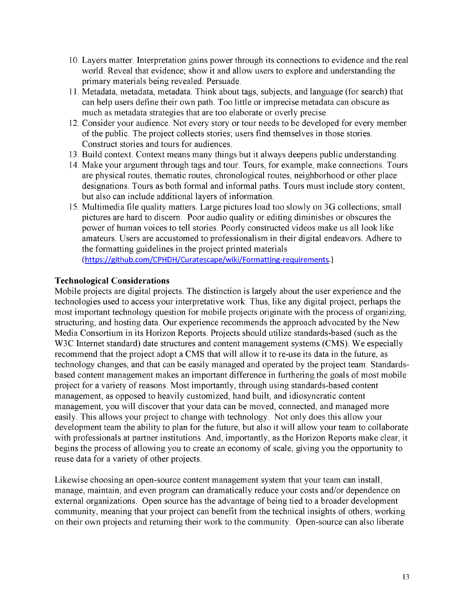- 10. Layers matter. Interpretation gains power through its connections to evidence and the real world. Reveal that evidence; show it and allow users to explore and understanding the primary materials being revealed. Persuade.
- 11. Metadata, metadata, metadata. Think about tags, subjects, and language (for search) that can help users define their own path. Too little or imprecise metadata can obscure as much as metadata strategies that are too elaborate or overly precise.
- 12. Consider your audience. Not every story or tour needs to be developed for every member of the public. The project collects stories; users find themselves in those stories. Construct stories and tours for audiences.
- 13. Build context. Context means many things but it always deepens public understanding.
- 14. Make your argument through tags and tour. Tours, for example, make connections. Tours are physical routes, thematic routes, chronological routes, neighborhood or other place designations. Tours as both formal and informal paths. Tours must include story content, but also can include additional layers of information.
- 15. Multimedia file quality matters. Large pictures load too slowly on 3G collections; small pictures are hard to discern. Poor audio quality or editing diminishes or obscures the power of human voices to tell stories. Poorly constructed videos make us all look like amateurs. Users are accustomed to professionalism in their digital endeavors. Adhere to the formatting guidelines in the project printed materials

(<https://github.com/CPHDH/Curatescape/wiki/Formatting-requirements>.)

## **Technological Considerations**

Mobile projects are digital projects. The distinction is largely about the user experience and the technologies used to access your interpretative work. Thus, like any digital project, perhaps the most important technology question for mobile projects originate with the process of organizing, structuring, and hosting data. Our experience recommends the approach advocated by the New Media Consortium in its Horizon Reports. Projects should utilize standards-based (such as the W3C Internet standard) date structures and content management systems (CMS). We especially recommend that the project adopt a CMS that will allow it to re-use its data in the future, as technology changes, and that can be easily managed and operated by the project team. Standardsbased content management makes an important difference in furthering the goals of most mobile project for a variety of reasons. Most importantly, through using standards-based content management, as opposed to heavily customized, hand built, and idiosyncratic content management, you will discover that your data can be moved, connected, and managed more easily. This allows your project to change with technology. Not only does this allow your development team the ability to plan for the future, but also it will allow your team to collaborate with professionals at partner institutions. And, importantly, as the Horizon Reports make clear, it begins the process of allowing you to create an economy of scale, giving you the opportunity to reuse data for a variety of other projects.

Likewise choosing an open-source content management system that your team can install, manage, maintain, and even program can dramatically reduce your costs and/or dependence on external organizations. Open source has the advantage of being tied to a broader development community, meaning that your project can benefit from the technical insights of others, working on their own projects and returning their work to the community. Open-source can also liberate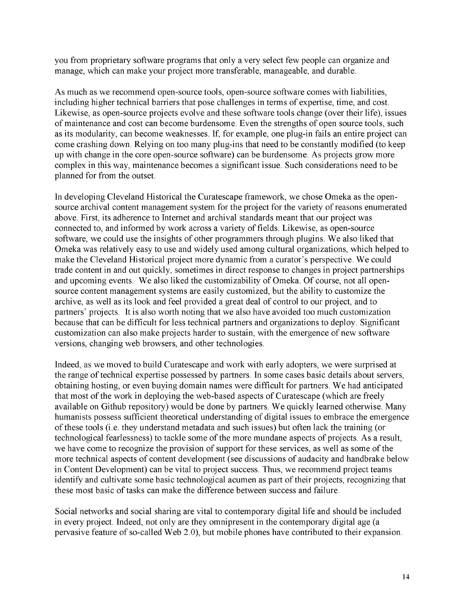you from proprietary software programs that only a very select few people can organize and manage, which can make your project more transferable, manageable, and durable.

As much as we recommend open-source tools, open-source software comes with liabilities, including higher technical barriers that pose challenges in terms of expertise, time, and cost. Likewise, as open-source projects evolve and these software tools change (over their life), issues of maintenance and cost can become burdensome. Even the strengths of open source tools, such as its modularity, can become weaknesses. If, for example, one plug-in fails an entire project can come crashing down. Relying on too many plug-ins that need to be constantly modified (to keep up with change in the core open-source software) can be burdensome. As projects grow more complex in this way, maintenance becomes a significant issue. Such considerations need to be planned for from the outset.

In developing Cleveland Historical the Curatescape framework, we chose Omeka as the opensource archival content management system for the project for the variety of reasons enumerated above. First, its adherence to Internet and archival standards meant that our project was connected to, and informed by work across a variety of fields. Likewise, as open-source software, we could use the insights of other programmers through plugins. We also liked that Omeka was relatively easy to use and widely used among cultural organizations, which helped to make the Cleveland Historical project more dynamic from a curator's perspective. We could trade content in and out quickly, sometimes in direct response to changes in project partnerships and upcoming events. We also liked the customizability of Omeka. Of course, not all opensource content management systems are easily customized, but the ability to customize the archive, as well as its look and feel provided a great deal of control to our project, and to partners' projects. It is also worth noting that we also have avoided too much customization because that can be difficult for less technical partners and organizations to deploy. Significant customization can also make projects harder to sustain, with the emergence of new software versions, changing web browsers, and other technologies.

Indeed, as we moved to build Curatescape and work with early adopters, we were surprised at the range of technical expertise possessed by partners. In some cases basic details about servers, obtaining hosting, or even buying domain names were difficult for partners. We had anticipated that most of the work in deploying the web-based aspects of Curatescape (which are freely available on Github repository) would be done by partners. We quickly learned otherwise. Many humanists possess sufficient theoretical understanding of digital issues to embrace the emergence of these tools (i.e. they understand metadata and such issues) but often lack the training (or technological fearlessness) to tackle some of the more mundane aspects of projects. As a result, we have come to recognize the provision of support for these services, as well as some of the more technical aspects of content development (see discussions of audacity and handbrake below in Content Development) can be vital to project success. Thus, we recommend project teams identify and cultivate some basic technological acumen as part of their projects, recognizing that these most basic of tasks can make the difference between success and failure.

Social networks and social sharing are vital to contemporary digital life and should be included in every project. Indeed, not only are they omnipresent in the contemporary digital age (a pervasive feature of so-called Web 2.0), but mobile phones have contributed to their expansion.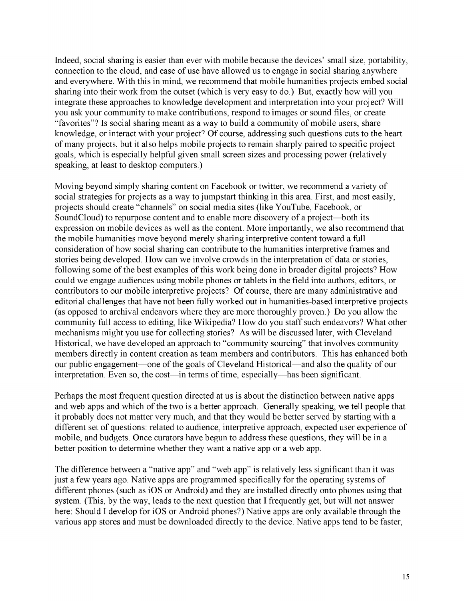Indeed, social sharing is easier than ever with mobile because the devices' small size, portability, connection to the cloud, and ease of use have allowed us to engage in social sharing anywhere and everywhere. With this in mind, we recommend that mobile humanities projects embed social sharing into their work from the outset (which is very easy to do.) But, exactly how will you integrate these approaches to knowledge development and interpretation into your project? Will you ask your community to make contributions, respond to images or sound files, or create "favorites"? Is social sharing meant as a way to build a community of mobile users, share knowledge, or interact with your project? Of course, addressing such questions cuts to the heart of many projects, but it also helps mobile projects to remain sharply paired to specific project goals, which is especially helpful given small screen sizes and processing power (relatively speaking, at least to desktop computers.)

Moving beyond simply sharing content on Facebook or twitter, we recommend a variety of social strategies for projects as a way to jumpstart thinking in this area. First, and most easily, projects should create "channels" on social media sites (like YouTube, Facebook, or SoundCloud) to repurpose content and to enable more discovery of a project—both its expression on mobile devices as well as the content. More importantly, we also recommend that the mobile humanities move beyond merely sharing interpretive content toward a full consideration of how social sharing can contribute to the humanities interpretive frames and stories being developed. How can we involve crowds in the interpretation of data or stories, following some of the best examples of this work being done in broader digital projects? How could we engage audiences using mobile phones or tablets in the field into authors, editors, or contributors to our mobile interpretive projects? Of course, there are many administrative and editorial challenges that have not been fully worked out in humanities-based interpretive projects (as opposed to archival endeavors where they are more thoroughly proven.) Do you allow the community full access to editing, like Wikipedia? How do you staff such endeavors? What other mechanisms might you use for collecting stories? As will be discussed later, with Cleveland Historical, we have developed an approach to "community sourcing" that involves community members directly in content creation as team members and contributors. This has enhanced both our public engagement—one of the goals of Cleveland Historical—and also the quality of our interpretation. Even so, the cost—in terms of time, especially—has been significant.

Perhaps the most frequent question directed at us is about the distinction between native apps and web apps and which of the two is a better approach. Generally speaking, we tell people that it probably does not matter very much, and that they would be better served by starting with a different set of questions: related to audience, interpretive approach, expected user experience of mobile, and budgets. Once curators have begun to address these questions, they will be in a better position to determine whether they want a native app or a web app.

The difference between a "native app" and "web app" is relatively less significant than it was just a few years ago. Native apps are programmed specifically for the operating systems of different phones (such as iOS or Android) and they are installed directly onto phones using that system. (This, by the way, leads to the next question that I frequently get, but will not answer here: Should I develop for iOS or Android phones?) Native apps are only available through the various app stores and must be downloaded directly to the device. Native apps tend to be faster,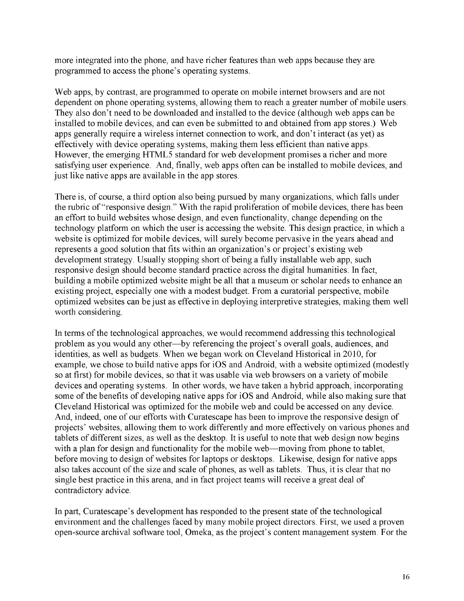more integrated into the phone, and have richer features than web apps because they are programmed to access the phone's operating systems.

Web apps, by contrast, are programmed to operate on mobile internet browsers and are not dependent on phone operating systems, allowing them to reach a greater number of mobile users. They also don't need to be downloaded and installed to the device (although web apps can be installed to mobile devices, and can even be submitted to and obtained from app stores.) Web apps generally require a wireless internet connection to work, and don't interact (as yet) as effectively with device operating systems, making them less efficient than native apps. However, the emerging HTML5 standard for web development promises a richer and more satisfying user experience. And, finally, web apps often can be installed to mobile devices, and just like native apps are available in the app stores.

There is, of course, a third option also being pursued by many organizations, which falls under the rubric of "responsive design." With the rapid proliferation of mobile devices, there has been an effort to build websites whose design, and even functionality, change depending on the technology platform on which the user is accessing the website. This design practice, in which a website is optimized for mobile devices, will surely become pervasive in the years ahead and represents a good solution that fits within an organization's or project's existing web development strategy. Usually stopping short of being a fully installable web app, such responsive design should become standard practice across the digital humanities. In fact, building a mobile optimized website might be all that a museum or scholar needs to enhance an existing project, especially one with a modest budget. From a curatorial perspective, mobile optimized websites can be just as effective in deploying interpretive strategies, making them well worth considering.

In terms of the technological approaches, we would recommend addressing this technological problem as you would any other—by referencing the project's overall goals, audiences, and identities, as well as budgets. When we began work on Cleveland Historical in 2010, for example, we chose to build native apps for iOS and Android, with a website optimized (modestly so at first) for mobile devices, so that it was usable via web browsers on a variety of mobile devices and operating systems. In other words, we have taken a hybrid approach, incorporating some of the benefits of developing native apps for iOS and Android, while also making sure that Cleveland Historical was optimized for the mobile web and could be accessed on any device. And, indeed, one of our efforts with Curatescape has been to improve the responsive design of projects' websites, allowing them to work differently and more effectively on various phones and tablets of different sizes, as well as the desktop. It is useful to note that web design now begins with a plan for design and functionality for the mobile web—moving from phone to tablet, before moving to design of websites for laptops or desktops. Likewise, design for native apps also takes account of the size and scale of phones, as well as tablets. Thus, it is clear that no single best practice in this arena, and in fact project teams will receive a great deal of contradictory advice.

In part, Curatescape's development has responded to the present state of the technological environment and the challenges faced by many mobile project directors. First, we used a proven open-source archival software tool, Omeka, as the project's content management system. For the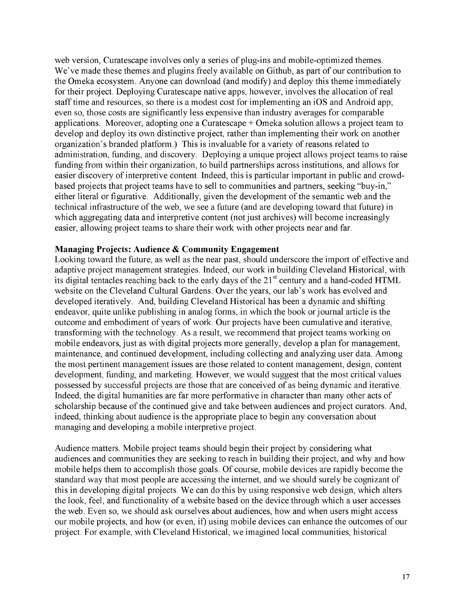web version, Curatescape involves only a series of plug-ins and mobile-optimized themes. We've made these themes and plugins freely available on Github, as part of our contribution to the Omeka ecosystem. Anyone can download (and modify) and deploy this theme immediately for their project. Deploying Curatescape native apps, however, involves the allocation of real staff time and resources, so there is a modest cost for implementing an iOS and Android app; even so, those costs are significantly less expensive than industry averages for comparable applications. Moreover, adopting one a Curatescape + Omeka solution allows a project team to develop and deploy its own distinctive project, rather than implementing their work on another organization's branded platform.) This is invaluable for a variety of reasons related to administration, funding, and discovery. Deploying a unique project allows project teams to raise funding from within their organization, to build partnerships across institutions, and allows for easier discovery of interpretive content. Indeed, this is particular important in public and crowdbased projects that project teams have to sell to communities and partners, seeking "buy-in," either literal or figurative. Additionally, given the development of the semantic web and the technical infrastructure of the web, we see a future (and are developing toward that future) in which aggregating data and interpretive content (not just archives) will become increasingly easier, allowing project teams to share their work with other projects near and far.

#### **Managing Projects: Audience & Community Engagement**

Looking toward the future, as well as the near past, should underscore the import of effective and adaptive project management strategies. Indeed, our work in building Cleveland Historical, with its digital tentacles reaching back to the early days of the 21<sup>st</sup> century and a hand-coded HTML website on the Cleveland Cultural Gardens. Over the years, our lab's work has evolved and developed iteratively. And, building Cleveland Historical has been a dynamic and shifting endeavor, quite unlike publishing in analog forms, in which the book or journal article is the outcome and embodiment of years of work. Our projects have been cumulative and iterative, transforming with the technology. As a result, we recommend that project teams working on mobile endeavors, just as with digital projects more generally, develop a plan for management, maintenance, and continued development, including collecting and analyzing user data. Among the most pertinent management issues are those related to content management, design, content development, funding, and marketing. However, we would suggest that the most critical values possessed by successful projects are those that are conceived of as being dynamic and iterative. Indeed, the digital humanities are far more performative in character than many other acts of scholarship because of the continued give and take between audiences and project curators. And, indeed, thinking about audience is the appropriate place to begin any conversation about managing and developing a mobile interpretive project.

Audience matters. Mobile project teams should begin their project by considering what audiences and communities they are seeking to reach in building their project, and why and how mobile helps them to accomplish those goals. Of course, mobile devices are rapidly become the standard way that most people are accessing the internet, and we should surely be cognizant of this in developing digital projects. We can do this by using responsive web design, which alters the look, feel, and functionality of a website based on the device through which a user accesses the web. Even so, we should ask ourselves about audiences, how and when users might access our mobile projects, and how (or even, if) using mobile devices can enhance the outcomes of our project. For example, with Cleveland Historical, we imagined local communities, historical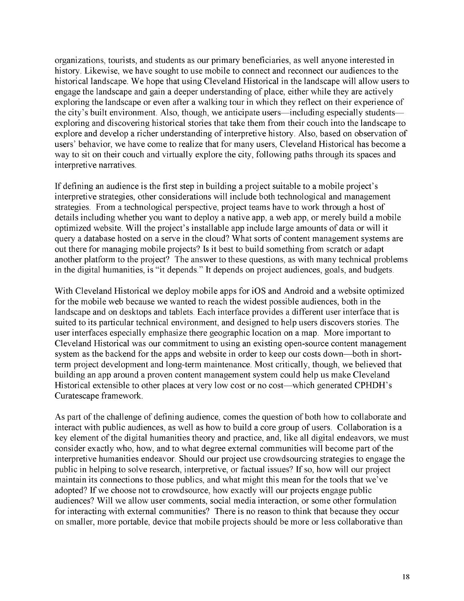organizations, tourists, and students as our primary beneficiaries, as well anyone interested in history. Likewise, we have sought to use mobile to connect and reconnect our audiences to the historical landscape. We hope that using Cleveland Historical in the landscape will allow users to engage the landscape and gain a deeper understanding of place, either while they are actively exploring the landscape or even after a walking tour in which they reflect on their experience of the city's built environment. Also, though, we anticipate users—including especially students exploring and discovering historical stories that take them from their couch into the landscape to explore and develop a richer understanding of interpretive history. Also, based on observation of users' behavior, we have come to realize that for many users, Cleveland Historical has become a way to sit on their couch and virtually explore the city, following paths through its spaces and interpretive narratives.

If defining an audience is the first step in building a project suitable to a mobile project's interpretive strategies, other considerations will include both technological and management strategies. From a technological perspective, project teams have to work through a host of details including whether you want to deploy a native app, a web app, or merely build a mobile optimized website. Will the project's installable app include large amounts of data or will it query a database hosted on a serve in the cloud? What sorts of content management systems are out there for managing mobile projects? Is it best to build something from scratch or adapt another platform to the project? The answer to these questions, as with many technical problems in the digital humanities, is "it depends." It depends on project audiences, goals, and budgets.

With Cleveland Historical we deploy mobile apps for iOS and Android and a website optimized for the mobile web because we wanted to reach the widest possible audiences, both in the landscape and on desktops and tablets. Each interface provides a different user interface that is suited to its particular technical environment, and designed to help users discovers stories. The user interfaces especially emphasize there geographic location on a map. More important to Cleveland Historical was our commitment to using an existing open-source content management system as the backend for the apps and website in order to keep our costs down—both in shortterm project development and long-term maintenance. Most critically, though, we believed that building an app around a proven content management system could help us make Cleveland Historical extensible to other places at very low cost or no cost—which generated CPHDH's Curatescape framework.

As part of the challenge of defining audience, comes the question of both how to collaborate and interact with public audiences, as well as how to build a core group of users. Collaboration is a key element of the digital humanities theory and practice, and, like all digital endeavors, we must consider exactly who, how, and to what degree external communities will become part of the interpretive humanities endeavor. Should our project use crowdsourcing strategies to engage the public in helping to solve research, interpretive, or factual issues? If so, how will our project maintain its connections to those publics, and what might this mean for the tools that we've adopted? If we choose not to crowdsource, how exactly will our projects engage public audiences? Will we allow user comments, social media interaction, or some other formulation for interacting with external communities? There is no reason to think that because they occur on smaller, more portable, device that mobile projects should be more or less collaborative than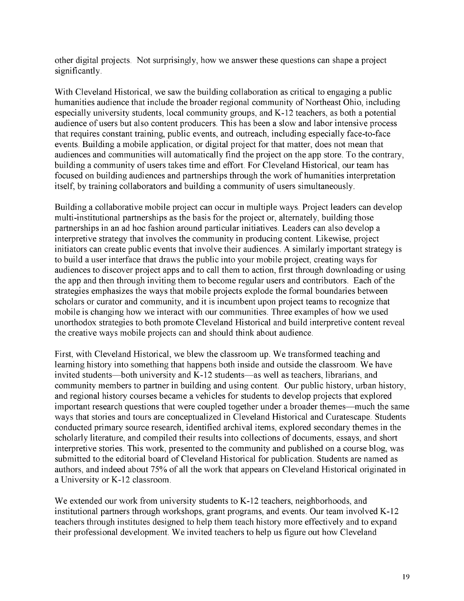other digital projects. Not surprisingly, how we answer these questions can shape a project significantly.

With Cleveland Historical, we saw the building collaboration as critical to engaging a public humanities audience that include the broader regional community of Northeast Ohio, including especially university students, local community groups, and K-12 teachers, as both a potential audience of users but also content producers. This has been a slow and labor intensive process that requires constant training, public events, and outreach, including especially face-to-face events. Building a mobile application, or digital project for that matter, does not mean that audiences and communities will automatically find the project on the app store. To the contrary, building a community of users takes time and effort. For Cleveland Historical, our team has focused on building audiences and partnerships through the work of humanities interpretation itself, by training collaborators and building a community of users simultaneously.

Building a collaborative mobile project can occur in multiple ways. Project leaders can develop multi-institutional partnerships as the basis for the project or, alternately, building those partnerships in an ad hoc fashion around particular initiatives. Leaders can also develop a interpretive strategy that involves the community in producing content. Likewise, project initiators can create public events that involve their audiences. A similarly important strategy is to build a user interface that draws the public into your mobile project, creating ways for audiences to discover project apps and to call them to action, first through downloading or using the app and then through inviting them to become regular users and contributors. Each of the strategies emphasizes the ways that mobile projects explode the formal boundaries between scholars or curator and community, and it is incumbent upon project teams to recognize that mobile is changing how we interact with our communities. Three examples of how we used unorthodox strategies to both promote Cleveland Historical and build interpretive content reveal the creative ways mobile projects can and should think about audience.

First, with Cleveland Historical, we blew the classroom up. We transformed teaching and learning history into something that happens both inside and outside the classroom. We have invited students—both university and K-12 students—as well as teachers, librarians, and community members to partner in building and using content. Our public history, urban history, and regional history courses became a vehicles for students to develop projects that explored important research questions that were coupled together under a broader themes—much the same ways that stories and tours are conceptualized in Cleveland Historical and Curatescape. Students conducted primary source research, identified archival items, explored secondary themes in the scholarly literature, and compiled their results into collections of documents, essays, and short interpretive stories. This work, presented to the community and published on a course blog, was submitted to the editorial board of Cleveland Historical for publication. Students are named as authors, and indeed about 75% of all the work that appears on Cleveland Historical originated in a University or K-12 classroom.

We extended our work from university students to K-12 teachers, neighborhoods, and institutional partners through workshops, grant programs, and events. Our team involved K-12 teachers through institutes designed to help them teach history more effectively and to expand their professional development. We invited teachers to help us figure out how Cleveland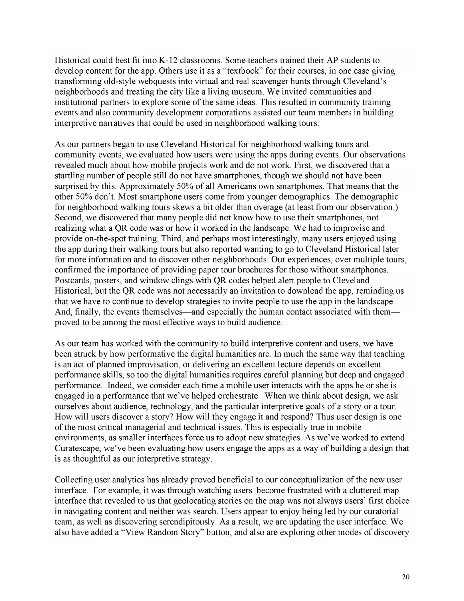Historical could best fit into K-12 classrooms. Some teachers trained their AP students to develop content for the app. Others use it as a "textbook" for their courses, in one case giving transforming old-style webquests into virtual and real scavenger hunts through Cleveland's neighborhoods and treating the city like a living museum. We invited communities and institutional partners to explore some of the same ideas. This resulted in community training events and also community development corporations assisted our team members in building interpretive narratives that could be used in neighborhood walking tours.

As our partners began to use Cleveland Historical for neighborhood walking tours and community events, we evaluated how users were using the apps during events. Our observations revealed much about how mobile projects work and do not work. First, we discovered that a startling number of people still do not have smartphones, though we should not have been surprised by this. Approximately 50% of all Americans own smartphones. That means that the other 50% don't. Most smartphone users come from younger demographics. The demographic for neighborhood walking tours skews a bit older than overage (at least from our observation.) Second, we discovered that many people did not know how to use their smartphones, not realizing what a QR code was or how it worked in the landscape. We had to improvise and provide on-the-spot training. Third, and perhaps most interestingly, many users enjoyed using the app during their walking tours but also reported wanting to go to Cleveland Historical later for more information and to discover other neighborhoods. Our experiences, over multiple tours, confirmed the importance of providing paper tour brochures for those without smartphones. Postcards, posters, and window clings with QR codes helped alert people to Cleveland Historical, but the QR code was not necessarily an invitation to download the app, reminding us that we have to continue to develop strategies to invite people to use the app in the landscape. And, finally, the events themselves—and especially the human contact associated with them proved to be among the most effective ways to build audience.

As our team has worked with the community to build interpretive content and users, we have been struck by how performative the digital humanities are. In much the same way that teaching is an act of planned improvisation, or delivering an excellent lecture depends on excellent performance skills, so too the digital humanities requires careful planning but deep and engaged performance. Indeed, we consider each time a mobile user interacts with the apps he or she is engaged in a performance that we've helped orchestrate. When we think about design, we ask ourselves about audience, technology, and the particular interpretive goals of a story or a tour. How will users discover a story? How will they engage it and respond? Thus user design is one of the most critical managerial and technical issues. This is especially true in mobile environments, as smaller interfaces force us to adopt new strategies. As we've worked to extend Curatescape, we've been evaluating how users engage the apps as a way of building a design that is as thoughtful as our interpretive strategy.

Collecting user analytics has already proved beneficial to our conceptualization of the new user interface. For example, it was through watching users become frustrated with a cluttered map interface that revealed to us that geolocating stories on the map was not always users' first choice in navigating content and neither was search. Users appear to enjoy being led by our curatorial team, as well as discovering serendipitously. As a result, we are updating the user interface. We also have added a "View Random Story" button, and also are exploring other modes of discovery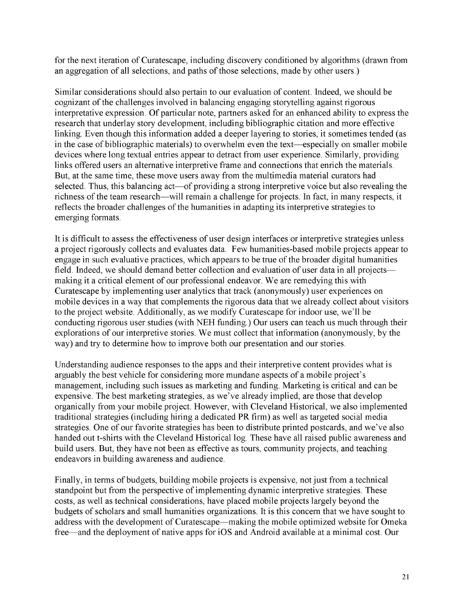for the next iteration of Curatescape, including discovery conditioned by algorithms (drawn from an aggregation of all selections, and paths of those selections, made by other users.)

Similar considerations should also pertain to our evaluation of content. Indeed, we should be cognizant of the challenges involved in balancing engaging storytelling against rigorous interpretative expression. Of particular note, partners asked for an enhanced ability to express the research that underlay story development, including bibliographic citation and more effective linking. Even though this information added a deeper layering to stories, it sometimes tended (as in the case of bibliographic materials) to overwhelm even the text—especially on smaller mobile devices where long textual entries appear to detract from user experience. Similarly, providing links offered users an alternative interpretive frame and connections that enrich the materials. But, at the same time, these move users away from the multimedia material curators had selected. Thus, this balancing act—of providing a strong interpretive voice but also revealing the richness of the team research—will remain a challenge for projects. In fact, in many respects, it reflects the broader challenges of the humanities in adapting its interpretive strategies to emerging formats.

It is difficult to assess the effectiveness of user design interfaces or interpretive strategies unless a project rigorously collects and evaluates data. Few humanities-based mobile projects appear to engage in such evaluative practices, which appears to be true of the broader digital humanities field. Indeed, we should demand better collection and evaluation of user data in all projects making it a critical element of our professional endeavor. We are remedying this with Curatescape by implementing user analytics that track (anonymously) user experiences on mobile devices in a way that complements the rigorous data that we already collect about visitors to the project website. Additionally, as we modify Curatescape for indoor use, we'll be conducting rigorous user studies (with NEH funding.) Our users can teach us much through their explorations of our interpretive stories. We must collect that information (anonymously, by the way) and try to determine how to improve both our presentation and our stories.

Understanding audience responses to the apps and their interpretive content provides what is arguably the best vehicle for considering more mundane aspects of a mobile project's management, including such issues as marketing and funding. Marketing is critical and can be expensive. The best marketing strategies, as we've already implied, are those that develop organically from your mobile project. However, with Cleveland Historical, we also implemented traditional strategies (including hiring a dedicated PR firm) as well as targeted social media strategies. One of our favorite strategies has been to distribute printed postcards, and we've also handed out t-shirts with the Cleveland Historical log. These have all raised public awareness and build users. But, they have not been as effective as tours, community projects, and teaching endeavors in building awareness and audience.

Finally, in terms of budgets, building mobile projects is expensive, not just from a technical standpoint but from the perspective of implementing dynamic interpretive strategies. These costs, as well as technical considerations, have placed mobile projects largely beyond the budgets of scholars and small humanities organizations. It is this concern that we have sought to address with the development of Curatescape—making the mobile optimized website for Omeka free—and the deployment of native apps for iOS and Android available at a minimal cost. Our